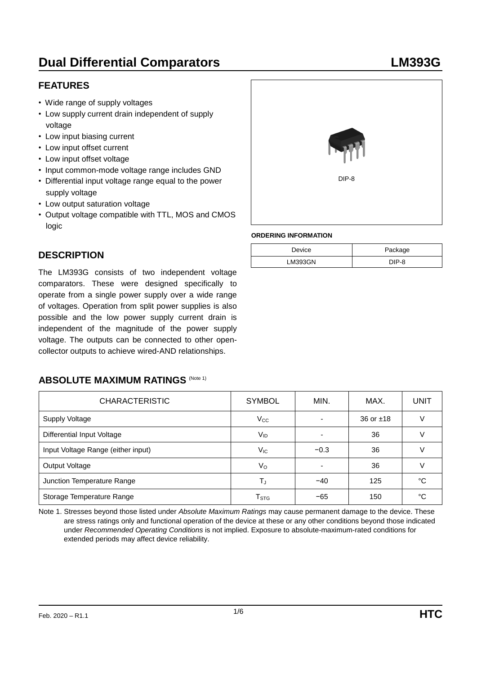# **Dual Differential Comparators LM393G**

## **FEATURES**

- Wide range of supply voltages
- Low supply current drain independent of supply voltage
- Low input biasing current
- Low input offset current
- Low input offset voltage
- Input common-mode voltage range includes GND
- Differential input voltage range equal to the power supply voltage
- Low output saturation voltage
- Output voltage compatible with TTL, MOS and CMOS logic

## **DESCRIPTION**

The LM393G consists of two independent voltage comparators. These were designed specifically to operate from a single power supply over a wide range of voltages. Operation from split power supplies is also possible and the low power supply current drain is independent of the magnitude of the power supply voltage. The outputs can be connected to other opencollector outputs to achieve wired-AND relationships.

### **ABSOLUTE MAXIMUM RATINGS (Note 1)**

| <b>CHARACTERISTIC</b>              | <b>SYMBOL</b>               | MIN.                     | MAX.        | <b>UNIT</b> |
|------------------------------------|-----------------------------|--------------------------|-------------|-------------|
| <b>Supply Voltage</b>              | $V_{\rm CC}$                |                          | 36 or $±18$ | $\vee$      |
| Differential Input Voltage         | V <sub>ID</sub>             | $\overline{\phantom{0}}$ | 36          | V           |
| Input Voltage Range (either input) | $V_{IC}$                    | $-0.3$                   | 36          |             |
| Output Voltage                     | V <sub>o</sub>              | $\overline{\phantom{0}}$ | 36          |             |
| Junction Temperature Range         | TJ                          | $-40$                    | 125         | °C          |
| Storage Temperature Range          | $\mathsf{T}_{\texttt{STG}}$ | $-65$                    | 150         | °C          |

Note 1. Stresses beyond those listed under *Absolute Maximum Ratings* may cause permanent damage to the device. These are stress ratings only and functional operation of the device at these or any other conditions beyond those indicated under *Recommended Operating Conditions* is not implied. Exposure to absolute-maximum-rated conditions for extended periods may affect device reliability.



#### **ORDERING INFORMATION**

| Device         | Package |
|----------------|---------|
| <b>LM393GN</b> | DIP-8   |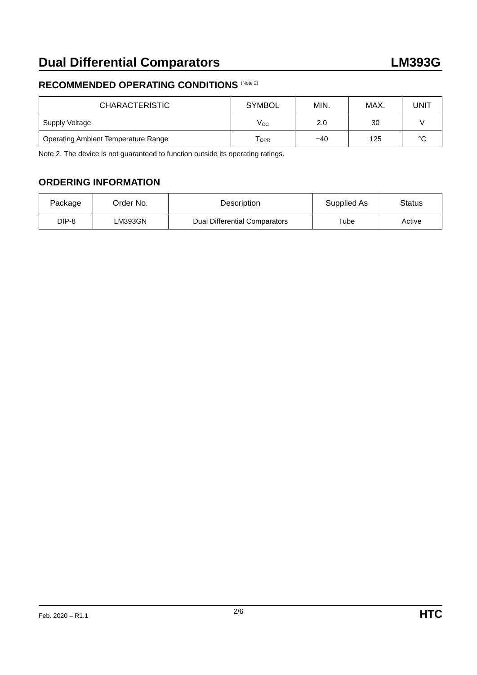## **RECOMMENDED OPERATING CONDITIONS** (Note 2)

| <b>CHARACTERISTIC</b>                      | <b>SYMBOL</b>    | MIN.  | MAX. | UNIT   |
|--------------------------------------------|------------------|-------|------|--------|
| Supply Voltage                             | $\rm V_{CC}$     | 2.0   | 30   |        |
| <b>Operating Ambient Temperature Range</b> | T <sub>OPR</sub> | $-40$ | 125  | $\sim$ |

Note 2. The device is not guaranteed to function outside its operating ratings.

## **ORDERING INFORMATION**

| Package | Order No. | <b>Description</b>                   | Supplied As | Status |
|---------|-----------|--------------------------------------|-------------|--------|
| DIP-8   | ∟M393GN   | <b>Dual Differential Comparators</b> | Tube        | Active |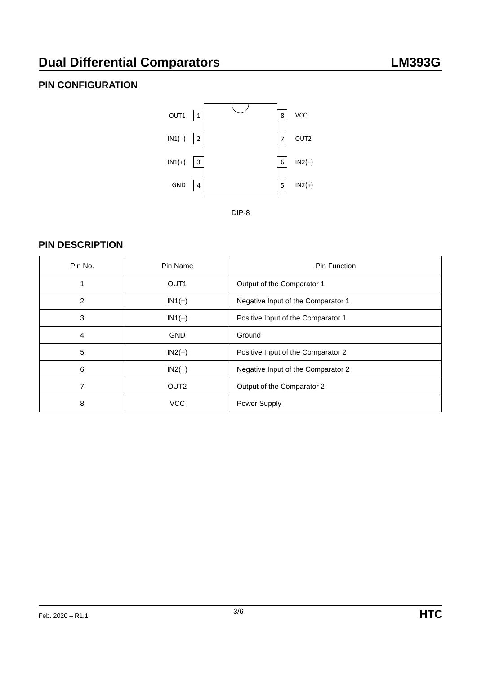# **Dual Differential Comparators LM393G**

# **PIN CONFIGURATION**



## **PIN DESCRIPTION**

| Pin No. | Pin Name         | Pin Function                       |
|---------|------------------|------------------------------------|
|         | OUT <sub>1</sub> | Output of the Comparator 1         |
| 2       | $IN1(-)$         | Negative Input of the Comparator 1 |
| 3       | $IN1(+)$         | Positive Input of the Comparator 1 |
| 4       | <b>GND</b>       | Ground                             |
| 5       | $IN2(+)$         | Positive Input of the Comparator 2 |
| 6       | $IN2(-)$         | Negative Input of the Comparator 2 |
| 7       | OUT <sub>2</sub> | Output of the Comparator 2         |
| 8       | <b>VCC</b>       | Power Supply                       |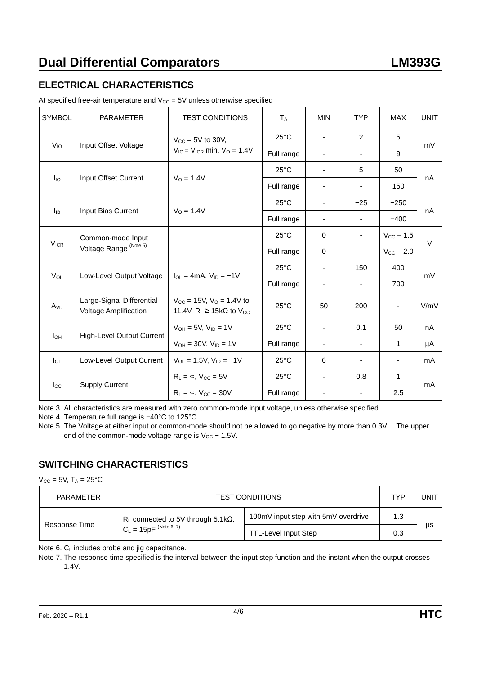# **ELECTRICAL CHARACTERISTICS**

| <b>SYMBOL</b>   | <b>PARAMETER</b>                                          | <b>TEST CONDITIONS</b>                                                              | $T_A$          | <b>MIN</b>               | <b>TYP</b>               | <b>MAX</b>            | <b>UNIT</b> |
|-----------------|-----------------------------------------------------------|-------------------------------------------------------------------------------------|----------------|--------------------------|--------------------------|-----------------------|-------------|
|                 |                                                           | $V_{\text{CC}}$ = 5V to 30V,<br>$V_{IC}$ = $V_{ICR}$ min, $V_{O}$ = 1.4V            | $25^{\circ}$ C | $\blacksquare$           | 2                        | 5                     | mV          |
| $V_{10}$        | Input Offset Voltage                                      |                                                                                     | Full range     | $\overline{\phantom{a}}$ | $\overline{\phantom{a}}$ | 9                     |             |
|                 |                                                           |                                                                                     | $25^{\circ}$ C | $\blacksquare$           | 5                        | 50                    | nA          |
| lio             | Input Offset Current                                      | $V_0 = 1.4V$                                                                        | Full range     | -                        |                          | 150                   |             |
|                 |                                                           | $V_0 = 1.4V$                                                                        | $25^{\circ}$ C | $\overline{\phantom{0}}$ | $-25$                    | $-250$                | nA          |
| $I_{IB}$        | Input Bias Current                                        |                                                                                     | Full range     | $\overline{\phantom{a}}$ | $\blacksquare$           | $-400$                |             |
|                 | Common-mode Input                                         |                                                                                     | $25^{\circ}$ C | $\Omega$                 | $\overline{\phantom{a}}$ | $V_{CC}$ – 1.5        | $\vee$      |
| $V_{ICR}$       | Voltage Range <sup>(Note 5)</sup>                         |                                                                                     | Full range     | $\Omega$                 | $\overline{\phantom{a}}$ | $V_{\text{CC}}$ – 2.0 |             |
|                 |                                                           | $I_{OL} = 4mA$ , $V_{ID} = -1V$                                                     | $25^{\circ}$ C | $\blacksquare$           | 150                      | 400                   |             |
| $V_{OL}$        | Low-Level Output Voltage                                  |                                                                                     | Full range     | $\overline{\phantom{a}}$ | $\blacksquare$           | 700                   | mV          |
| A <sub>VD</sub> | Large-Signal Differential<br><b>Voltage Amplification</b> | $V_{CC} = 15V$ , $V_{O} = 1.4V$ to<br>11.4V, $R_L \ge 15k\Omega$ to V <sub>CC</sub> | $25^{\circ}$ C | 50                       | 200                      |                       | V/mV        |
|                 | <b>High-Level Output Current</b>                          | $V_{OH} = 5V$ , $V_{ID} = 1V$                                                       | $25^{\circ}$ C | $\blacksquare$           | 0.1                      | 50                    | nA          |
| Iон             |                                                           | $V_{OH} = 30V$ , $V_{ID} = 1V$                                                      | Full range     | -                        |                          | 1                     | μA          |
| $I_{OL}$        | Low-Level Output Current                                  | $V_{OL} = 1.5V$ , $V_{ID} = -1V$                                                    | $25^{\circ}$ C | 6                        | $\overline{\phantom{a}}$ | $\blacksquare$        | mA          |
|                 | <b>Supply Current</b>                                     | $R_L = \infty$ , $V_{CC} = 5V$                                                      | $25^{\circ}$ C | $\blacksquare$           | 0.8                      | $\mathbf{1}$          |             |
| $I_{\rm CC}$    |                                                           | $R_L = \infty$ , $V_{CC} = 30V$                                                     | Full range     | ۰                        |                          | 2.5                   | mA          |

At specified free-air temperature and  $V_{CC} = 5V$  unless otherwise specified

Note 3. All characteristics are measured with zero common-mode input voltage, unless otherwise specified.

Note 4. Temperature full range is −40°C to 125°C.

Note 5. The Voltage at either input or common-mode should not be allowed to go negative by more than 0.3V. The upper end of the common-mode voltage range is  $V_{CC}$  – 1.5V.

## **SWITCHING CHARACTERISTICS**

 $V_{CC}$  = 5V,  $T_A$  = 25°C

| PARAMETER     | <b>TEST CONDITIONS</b>                        |                                     |     | UNIT |
|---------------|-----------------------------------------------|-------------------------------------|-----|------|
| Response Time | $R_L$ connected to 5V through 5.1k $\Omega$ , | 100mV input step with 5mV overdrive | 1.3 |      |
|               | $C_L = 15pF^{(Note 6, 7)}$                    | <b>TTL-Level Input Step</b>         | 0.3 | μs   |

Note 6. C<sub>L</sub> includes probe and jig capacitance.

Note 7. The response time specified is the interval between the input step function and the instant when the output crosses 1.4V.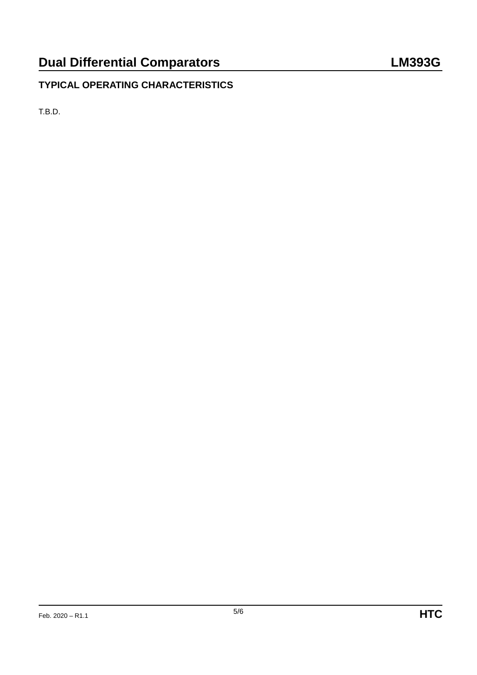# **TYPICAL OPERATING CHARACTERISTICS**

T.B.D.